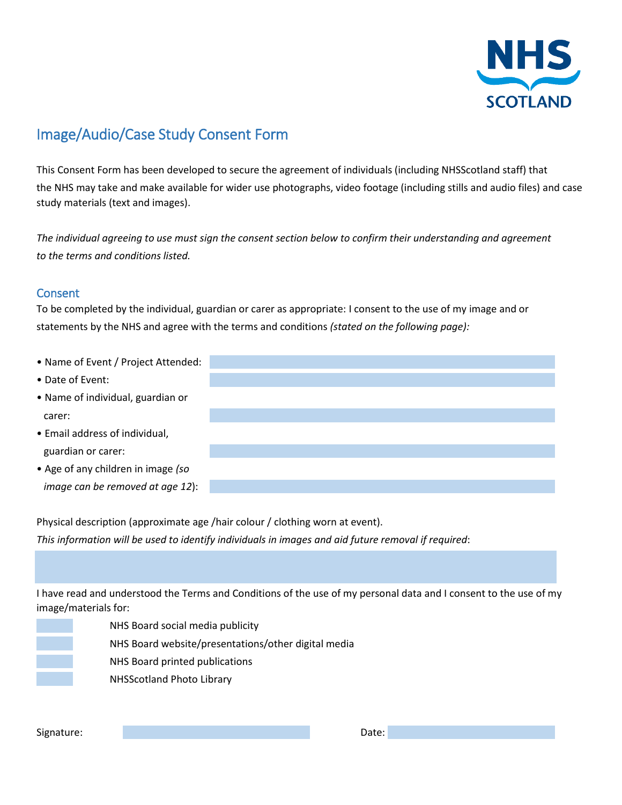

## Image/Audio/Case Study Consent Form

This Consent Form has been developed to secure the agreement of individuals (including NHSScotland staff) that the NHS may take and make available for wider use photographs, video footage (including stills and audio files) and case study materials (text and images).

*The individual agreeing to use must sign the consent section below to confirm their understanding and agreement to the terms and conditions listed.* 

## Consent

To be completed by the individual, guardian or carer as appropriate: I consent to the use of my image and or statements by the NHS and agree with the terms and conditions *(stated on the following page):* 

| • Name of Event / Project Attended: |  |
|-------------------------------------|--|
| • Date of Event:                    |  |
| • Name of individual, guardian or   |  |
| carer:                              |  |
| • Email address of individual,      |  |
| guardian or carer:                  |  |
| • Age of any children in image (so  |  |

Physical description (approximate age /hair colour / clothing worn at event). *This information will be used to identify individuals in images and aid future removal if required*:

I have read and understood the Terms and Conditions of the use of my personal data and I consent to the use of my image/materials for:



NHS Board social media publicity

NHS Board website/presentations/other digital media

NHS Board printed publications

NHSScotland Photo Library

*image can be removed at age 12*):

Signature: Date: Date: Date: Date: Date: Date: Date: Date: Date: Date: Date: Date: Date: Date: Date: Date: Date: Date: Date: Date: Date: Date: Date: Date: Date: Date: Date: Date: Date: Date: Date: Date: Date: Date: Date: D